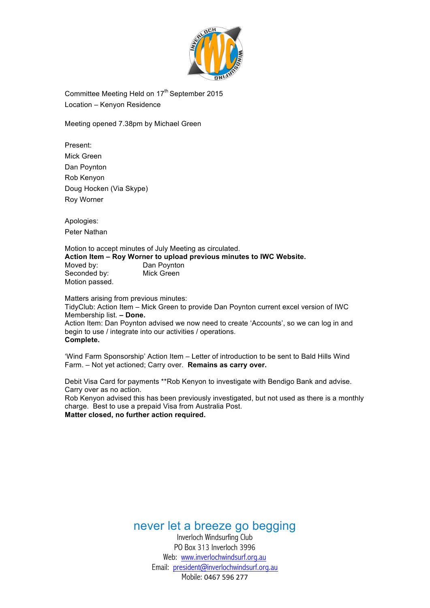

Committee Meeting Held on 17<sup>th</sup> September 2015 Location – Kenyon Residence

Meeting opened 7.38pm by Michael Green

Present: Mick Green Dan Poynton Rob Kenyon Doug Hocken (Via Skype) Roy Worner

Apologies: Peter Nathan

Motion to accept minutes of July Meeting as circulated. **Action Item – Roy Worner to upload previous minutes to IWC Website.** Moved by: Dan Poynton Seconded by: Mick Green Motion passed.

Matters arising from previous minutes:

TidyClub: Action Item – Mick Green to provide Dan Poynton current excel version of IWC Membership list. **– Done.** Action Item: Dan Poynton advised we now need to create 'Accounts', so we can log in and begin to use / integrate into our activities / operations. **Complete.**

'Wind Farm Sponsorship' Action Item – Letter of introduction to be sent to Bald Hills Wind Farm. – Not yet actioned; Carry over. **Remains as carry over.**

Debit Visa Card for payments \*\*Rob Kenyon to investigate with Bendigo Bank and advise. Carry over as no action.

Rob Kenyon advised this has been previously investigated, but not used as there is a monthly charge. Best to use a prepaid Visa from Australia Post. **Matter closed, no further action required.**

never let a breeze go begging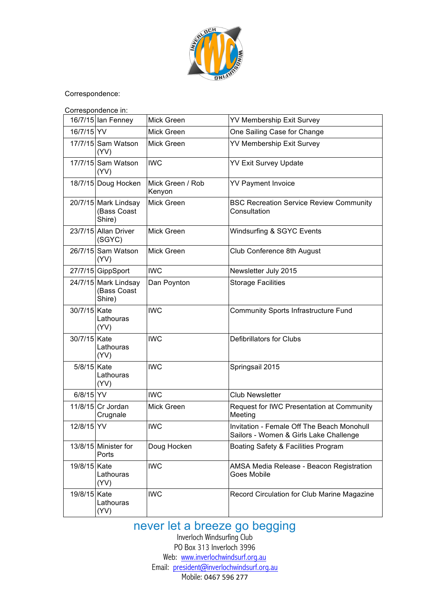

Correspondence:

|              | Correspondence in:                            |                            |                                                                                      |
|--------------|-----------------------------------------------|----------------------------|--------------------------------------------------------------------------------------|
|              | 16/7/15 Ian Fenney                            | Mick Green                 | <b>YV Membership Exit Survey</b>                                                     |
| 16/7/15 YV   |                                               | Mick Green                 | One Sailing Case for Change                                                          |
|              | 17/7/15 Sam Watson<br>(YY)                    | Mick Green                 | <b>YV Membership Exit Survey</b>                                                     |
|              | 17/7/15 Sam Watson<br>(YY)                    | <b>IWC</b>                 | <b>YV Exit Survey Update</b>                                                         |
|              | 18/7/15 Doug Hocken                           | Mick Green / Rob<br>Kenyon | <b>YV Payment Invoice</b>                                                            |
|              | 20/7/15 Mark Lindsay<br>(Bass Coast<br>Shire) | Mick Green                 | <b>BSC Recreation Service Review Community</b><br>Consultation                       |
|              | 23/7/15 Allan Driver<br>(SGYC)                | Mick Green                 | Windsurfing & SGYC Events                                                            |
|              | 26/7/15 Sam Watson<br>(YY)                    | Mick Green                 | Club Conference 8th August                                                           |
|              | 27/7/15 GippSport                             | <b>IWC</b>                 | Newsletter July 2015                                                                 |
|              | 24/7/15 Mark Lindsay<br>(Bass Coast<br>Shire) | Dan Poynton                | <b>Storage Facilities</b>                                                            |
| 30/7/15 Kate | Lathouras<br>(YY)                             | <b>IWC</b>                 | Community Sports Infrastructure Fund                                                 |
| 30/7/15 Kate | Lathouras<br>(YY)                             | <b>IWC</b>                 | Defibrillators for Clubs                                                             |
| 5/8/15 Kate  | Lathouras<br>(YY)                             | <b>IWC</b>                 | Springsail 2015                                                                      |
| $6/8/15$ YV  |                                               | <b>IWC</b>                 | <b>Club Newsletter</b>                                                               |
|              | 11/8/15 Cr Jordan<br>Crugnale                 | Mick Green                 | Request for IWC Presentation at Community<br>Meeting                                 |
| 12/8/15 YV   |                                               | <b>IWC</b>                 | Invitation - Female Off The Beach Monohull<br>Sailors - Women & Girls Lake Challenge |
|              | 13/8/15 Minister for<br>Ports                 | Doug Hocken                | Boating Safety & Facilities Program                                                  |
| 19/8/15 Kate | Lathouras<br>(YV)                             | <b>IWC</b>                 | AMSA Media Release - Beacon Registration<br><b>Goes Mobile</b>                       |
| 19/8/15 Kate | Lathouras<br>(YV)                             | <b>IWC</b>                 | Record Circulation for Club Marine Magazine                                          |

## never let a breeze go begging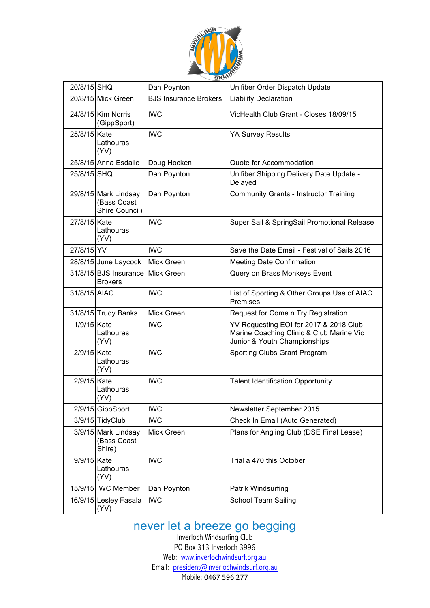

|              |                                                       | --                           |                                                                                                                    |  |  |  |  |
|--------------|-------------------------------------------------------|------------------------------|--------------------------------------------------------------------------------------------------------------------|--|--|--|--|
| 20/8/15 SHQ  |                                                       | Dan Poynton                  | Unifiber Order Dispatch Update                                                                                     |  |  |  |  |
|              | 20/8/15 Mick Green                                    | <b>BJS Insurance Brokers</b> | <b>Liability Declaration</b>                                                                                       |  |  |  |  |
|              | 24/8/15 Kim Norris<br>(GippSport)                     | <b>IWC</b>                   | VicHealth Club Grant - Closes 18/09/15                                                                             |  |  |  |  |
| 25/8/15 Kate | Lathouras<br>(YY)                                     | <b>IWC</b>                   | <b>YA Survey Results</b>                                                                                           |  |  |  |  |
|              | 25/8/15 Anna Esdaile                                  | Doug Hocken                  | Quote for Accommodation                                                                                            |  |  |  |  |
| 25/8/15 SHQ  |                                                       | Dan Poynton                  | Unifiber Shipping Delivery Date Update -<br>Delayed                                                                |  |  |  |  |
|              | 29/8/15 Mark Lindsay<br>(Bass Coast<br>Shire Council) | Dan Poynton                  | <b>Community Grants - Instructor Training</b>                                                                      |  |  |  |  |
| 27/8/15 Kate | Lathouras<br>(YY)                                     | <b>IWC</b>                   | Super Sail & SpringSail Promotional Release                                                                        |  |  |  |  |
| 27/8/15 YV   |                                                       | <b>IWC</b>                   | Save the Date Email - Festival of Sails 2016                                                                       |  |  |  |  |
|              | 28/8/15 June Laycock                                  | Mick Green                   | <b>Meeting Date Confirmation</b>                                                                                   |  |  |  |  |
|              | 31/8/15 BJS Insurance<br><b>Brokers</b>               | Mick Green                   | Query on Brass Monkeys Event                                                                                       |  |  |  |  |
| 31/8/15 AIAC |                                                       | <b>IWC</b>                   | List of Sporting & Other Groups Use of AIAC<br>Premises                                                            |  |  |  |  |
|              | 31/8/15 Trudy Banks                                   | Mick Green                   | Request for Come n Try Registration                                                                                |  |  |  |  |
| 1/9/15 Kate  | Lathouras<br>(YY)                                     | <b>IWC</b>                   | YV Requesting EOI for 2017 & 2018 Club<br>Marine Coaching Clinic & Club Marine Vic<br>Junior & Youth Championships |  |  |  |  |
| 2/9/15 Kate  | Lathouras<br>(YY)                                     | <b>IWC</b>                   | Sporting Clubs Grant Program                                                                                       |  |  |  |  |
| 2/9/15 Kate  | Lathouras<br>(YY)                                     | <b>IWC</b>                   | <b>Talent Identification Opportunity</b>                                                                           |  |  |  |  |
|              | 2/9/15 GippSport                                      | <b>IWC</b>                   | Newsletter September 2015                                                                                          |  |  |  |  |
|              | 3/9/15 TidyClub                                       | <b>IWC</b>                   | Check In Email (Auto Generated)                                                                                    |  |  |  |  |
|              | 3/9/15 Mark Lindsay<br>(Bass Coast<br>Shire)          | Mick Green                   | Plans for Angling Club (DSE Final Lease)                                                                           |  |  |  |  |
| 9/9/15 Kate  | Lathouras<br>(YV)                                     | <b>IWC</b>                   | Trial a 470 this October                                                                                           |  |  |  |  |
|              | 15/9/15 IWC Member                                    | Dan Poynton                  | Patrik Windsurfing                                                                                                 |  |  |  |  |
|              | 16/9/15 Lesley Fasala<br>(YY)                         | <b>IWC</b>                   | <b>School Team Sailing</b>                                                                                         |  |  |  |  |

## never let a breeze go begging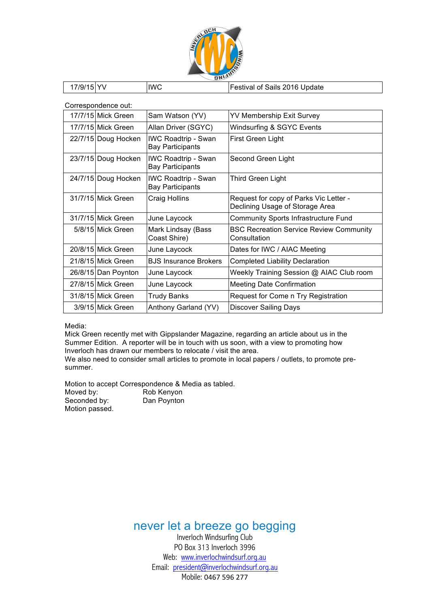

| 17/9/15 YV | <b>IWC</b> | Festival of Sails 2016 Update |
|------------|------------|-------------------------------|
|            |            |                               |

Correspondence out:

| 17/7/15 Mick Green  | Sam Watson (YV)                                       | YV Membership Exit Survey                                                 |
|---------------------|-------------------------------------------------------|---------------------------------------------------------------------------|
| 17/7/15 Mick Green  | Allan Driver (SGYC)                                   | Windsurfing & SGYC Events                                                 |
| 22/7/15 Doug Hocken | <b>IWC Roadtrip - Swan</b><br><b>Bay Participants</b> | First Green Light                                                         |
| 23/7/15 Doug Hocken | <b>IWC Roadtrip - Swan</b><br><b>Bay Participants</b> | Second Green Light                                                        |
| 24/7/15 Doug Hocken | <b>IWC Roadtrip - Swan</b><br><b>Bay Participants</b> | Third Green Light                                                         |
| 31/7/15 Mick Green  | Craig Hollins                                         | Request for copy of Parks Vic Letter -<br>Declining Usage of Storage Area |
| 31/7/15 Mick Green  | June Laycock                                          | <b>Community Sports Infrastructure Fund</b>                               |
| 5/8/15 Mick Green   | Mark Lindsay (Bass<br>Coast Shire)                    | <b>BSC Recreation Service Review Community</b><br>Consultation            |
| 20/8/15 Mick Green  | June Laycock                                          | Dates for IWC / AIAC Meeting                                              |
| 21/8/15 Mick Green  | <b>BJS Insurance Brokers</b>                          | <b>Completed Liability Declaration</b>                                    |
| 26/8/15 Dan Poynton | June Laycock                                          | Weekly Training Session @ AIAC Club room                                  |
| 27/8/15 Mick Green  | June Laycock                                          | <b>Meeting Date Confirmation</b>                                          |
| 31/8/15 Mick Green  | Trudy Banks                                           | Request for Come n Try Registration                                       |
| 3/9/15 Mick Green   | Anthony Garland (YV)                                  | <b>Discover Sailing Days</b>                                              |

Media:

Mick Green recently met with Gippslander Magazine, regarding an article about us in the Summer Edition. A reporter will be in touch with us soon, with a view to promoting how Inverloch has drawn our members to relocate / visit the area.

We also need to consider small articles to promote in local papers / outlets, to promote presummer.

Motion to accept Correspondence & Media as tabled.<br>Moved by: Rob Kenyon

Rob Kenyon<br>Dan Poynton Seconded by: Motion passed.

never let a breeze go begging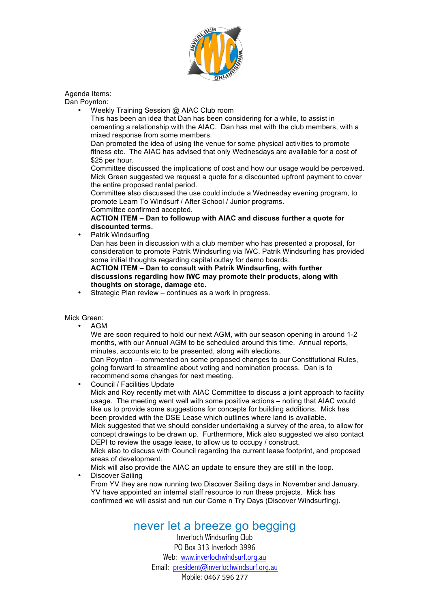

### Agenda Items:

Dan Poynton:

• Weekly Training Session @ AIAC Club room

This has been an idea that Dan has been considering for a while, to assist in cementing a relationship with the AIAC. Dan has met with the club members, with a mixed response from some members.

Dan promoted the idea of using the venue for some physical activities to promote fitness etc. The AIAC has advised that only Wednesdays are available for a cost of \$25 per hour.

Committee discussed the implications of cost and how our usage would be perceived. Mick Green suggested we request a quote for a discounted upfront payment to cover the entire proposed rental period.

Committee also discussed the use could include a Wednesday evening program, to promote Learn To Windsurf / After School / Junior programs. Committee confirmed accepted.

**ACTION ITEM – Dan to followup with AIAC and discuss further a quote for discounted terms.**

• Patrik Windsurfing

Dan has been in discussion with a club member who has presented a proposal, for consideration to promote Patrik Windsurfing via IWC. Patrik Windsurfing has provided some initial thoughts regarding capital outlay for demo boards.

**ACTION ITEM – Dan to consult with Patrik Windsurfing, with further discussions regarding how IWC may promote their products, along with thoughts on storage, damage etc.**

Strategic Plan review – continues as a work in progress.

#### Mick Green:

• AGM

We are soon required to hold our next AGM, with our season opening in around 1-2 months, with our Annual AGM to be scheduled around this time. Annual reports, minutes, accounts etc to be presented, along with elections.

Dan Poynton – commented on some proposed changes to our Constitutional Rules, going forward to streamline about voting and nomination process. Dan is to recommend some changes for next meeting.

• Council / Facilities Update Mick and Roy recently met with AIAC Committee to discuss a joint approach to facility usage. The meeting went well with some positive actions – noting that AIAC would like us to provide some suggestions for concepts for building additions. Mick has been provided with the DSE Lease which outlines where land is available. Mick suggested that we should consider undertaking a survey of the area, to allow for concept drawings to be drawn up. Furthermore, Mick also suggested we also contact DEPI to review the usage lease, to allow us to occupy / construct. Mick also to discuss with Council regarding the current lease footprint, and proposed areas of development. Mick will also provide the AIAC an update to ensure they are still in the loop. Discover Sailing

From YV they are now running two Discover Sailing days in November and January. YV have appointed an internal staff resource to run these projects. Mick has confirmed we will assist and run our Come n Try Days (Discover Windsurfing).

## never let a breeze go begging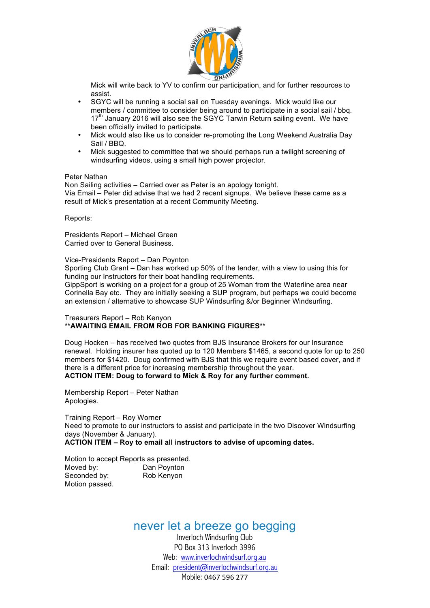

Mick will write back to YV to confirm our participation, and for further resources to assist.

- SGYC will be running a social sail on Tuesday evenings. Mick would like our members / committee to consider being around to participate in a social sail / bbq. 17<sup>th</sup> January 2016 will also see the SGYC Tarwin Return sailing event. We have been officially invited to participate.
- Mick would also like us to consider re-promoting the Long Weekend Australia Day Sail / BBQ.
- Mick suggested to committee that we should perhaps run a twilight screening of windsurfing videos, using a small high power projector.

#### Peter Nathan

Non Sailing activities – Carried over as Peter is an apology tonight. Via Email – Peter did advise that we had 2 recent signups. We believe these came as a result of Mick's presentation at a recent Community Meeting.

Reports:

Presidents Report – Michael Green Carried over to General Business.

Vice-Presidents Report – Dan Poynton

Sporting Club Grant – Dan has worked up 50% of the tender, with a view to using this for funding our Instructors for their boat handling requirements.

GippSport is working on a project for a group of 25 Woman from the Waterline area near Corinella Bay etc. They are initially seeking a SUP program, but perhaps we could become an extension / alternative to showcase SUP Windsurfing &/or Beginner Windsurfing.

#### Treasurers Report – Rob Kenyon **\*\*AWAITING EMAIL FROM ROB FOR BANKING FIGURES\*\***

Doug Hocken – has received two quotes from BJS Insurance Brokers for our Insurance renewal. Holding insurer has quoted up to 120 Members \$1465, a second quote for up to 250 members for \$1420. Doug confirmed with BJS that this we require event based cover, and if there is a different price for increasing membership throughout the year. **ACTION ITEM: Doug to forward to Mick & Roy for any further comment.**

Membership Report – Peter Nathan Apologies.

Training Report – Roy Worner Need to promote to our instructors to assist and participate in the two Discover Windsurfing days (November & January). **ACTION ITEM – Roy to email all instructors to advise of upcoming dates.**

Motion to accept Reports as presented. Moved by: Dan Poynton Seconded by: Rob Kenyon Motion passed.

### never let a breeze go begging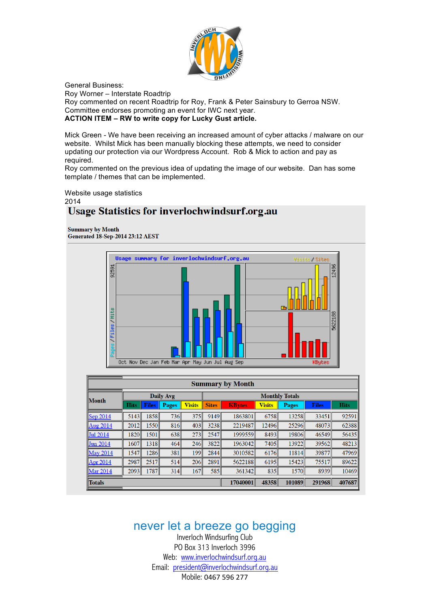

General Business: Roy Worner – Interstate Roadtrip Roy commented on recent Roadtrip for Roy, Frank & Peter Sainsbury to Gerroa NSW. Committee endorses promoting an event for IWC next year. **ACTION ITEM – RW to write copy for Lucky Gust article.**

Mick Green - We have been receiving an increased amount of cyber attacks / malware on our website. Whilst Mick has been manually blocking these attempts, we need to consider updating our protection via our Wordpress Account. Rob & Mick to action and pay as required.

Roy commented on the previous idea of updating the image of our website. Dan has some template / themes that can be implemented.

Website usage statistics 2014

## **Usage Statistics for inverlochwindsurf.org.au**

**Summary by Month** Generated 18-Sep-2014 23:12 AEST



| <b>Summary by Month</b> |                  |              |              |               |              |                       |               |              |              |             |  |
|-------------------------|------------------|--------------|--------------|---------------|--------------|-----------------------|---------------|--------------|--------------|-------------|--|
|                         | <b>Daily Avg</b> |              |              |               |              | <b>Monthly Totals</b> |               |              |              |             |  |
| Month                   | <b>Hits</b>      | <b>Files</b> | <b>Pages</b> | <b>Visits</b> | <b>Sites</b> | <b>KBytes</b>         | <b>Visits</b> | <b>Pages</b> | <b>Files</b> | <b>Hits</b> |  |
| $ $ Sep 2014            | 5143             | 1858         | <b>736</b>   | 375           | 9149         | 1863801               | 6758          | 13258        | 33451        | 92591       |  |
| Aug 2014                | 2012             | 1550         | 816          | 403           | 3238         | 2219487               | 12496         | 25296        | 48073        | 62388       |  |
| Jul 2014                | 1820             | 1501         | 638          | 273           | 2547         | 1999559               | 8493          | 19806        | 46549        | 56435       |  |
| <b>Jun 2014</b>         | 1607             | 1318         | 464          | 246           | 3822         | 1963042               | 7405          | 13922        | 39562        | 48213       |  |
| May 2014                | 1547             | 1286         | 381          | 199           | 2844         | 3010582               | 6176          | 11814        | 39877        | 47969       |  |
| <b>Apr</b> 2014         | 2987             | 2517         | 514          | 206           | 2891         | 5622188               | 6195          | 15423        | 75517        | 89622       |  |
| Mar 2014                | 2093             | 1787         | 314          | 167           | 585          | 361342                | 835           | 1570         | 8939         | 10469       |  |
| Totals                  |                  |              |              |               |              |                       | 48358         | 101089       | 291968       | 407687      |  |

never let a breeze go begging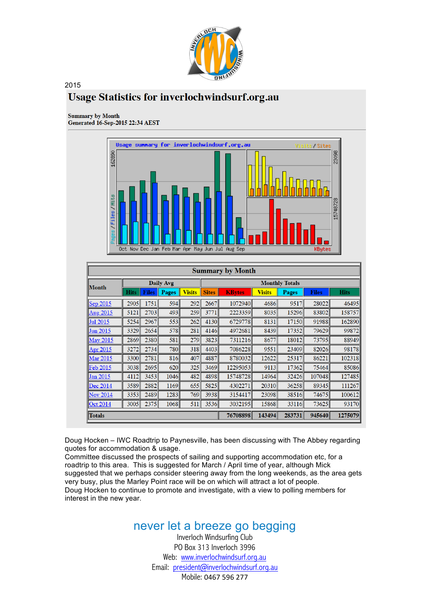

### 2015 **Usage Statistics for inverlochwindsurf.org.au**

#### **Summary by Month**

Generated 16-Sep-2015 22:34 AEST



| <b>Summary by Month</b> |             |                  |              |               |                       |               |               |              |              |             |
|-------------------------|-------------|------------------|--------------|---------------|-----------------------|---------------|---------------|--------------|--------------|-------------|
| Month                   |             | <b>Daily Avg</b> |              |               | <b>Monthly Totals</b> |               |               |              |              |             |
|                         | <b>Hits</b> | <b>Files</b>     | <b>Pages</b> | <b>Visits</b> | <b>Sites</b>          | <b>KBytes</b> | <b>Visits</b> | <b>Pages</b> | <b>Files</b> | <b>Hits</b> |
| Sep 2015                | 2905        | 1751             | 594          | 292           | 2667                  | 1072940       | 4686          | 9517         | 28022        | 46495       |
| Aug 2015                | 5121        | 2703             | 493          | 259           | 3771                  | 2223359       | 8035          | 15296        | 83802        | 158757      |
| Jul 2015                | 5254        | 2967             | 553          | 262           | 4130                  | 6729778       | 8131          | 17150        | 91988        | 162890      |
| Jun 2015                | 3329        | 2654             | 578          | 281           | 4146                  | 4972681       | 8439          | 17352        | 79629        | 99872       |
| <b>May 2015</b>         | 2869        | 2380             | 581l         | 279           | 3823                  | 7311216       | 8677          | 18012        | 73795        | 88949       |
| Apr 2015                | 3272        | 2734             | <b>780</b>   | 318           | 4403                  | 7086228       | 9551          | 23409        | 82026        | 98178       |
| <b>Mar 2015</b>         | 3300        | 2781             | 816          | 407           | 4887                  | 8780032       | 12622         | 25317        | 86221        | 102318      |
| <b>Feb 2015</b>         | 3038        | 2695             | 620          | 325           | 3469                  | 12295053      | 9113          | 17362        | 75464        | 85086       |
| Jan 2015                | 4112        | 3453             | 1046         | 482           | 4898                  | 15748728      | 14964         | 32426        | 107048       | 127485      |
| Dec 2014                | 3589        | 2882             | 1169         | 655           | 5825                  | 4302271       | 20310         | 36258        | 89345        | 111267      |
| <b>Nov 2014</b>         | 3353        | 2489             | 1283         | 769           | 3938                  | 3154417       | 23098         | 38516        | 74675        | 100612      |
| Oct 2014                | 3005        | 2375             | 1068         | 511           | 3536                  | 3032195       | 15868         | 33116        | 73625        | 93170       |
| <b>Totals</b>           |             |                  |              |               |                       | 76708898      | 143494        | 283731       | 945640       | 1275079     |

Doug Hocken – IWC Roadtrip to Paynesville, has been discussing with The Abbey regarding quotes for accommodation & usage.

Committee discussed the prospects of sailing and supporting accommodation etc, for a roadtrip to this area. This is suggested for March / April time of year, although Mick suggested that we perhaps consider steering away from the long weekends, as the area gets very busy, plus the Marley Point race will be on which will attract a lot of people. Doug Hocken to continue to promote and investigate, with a view to polling members for interest in the new year.

# never let a breeze go begging